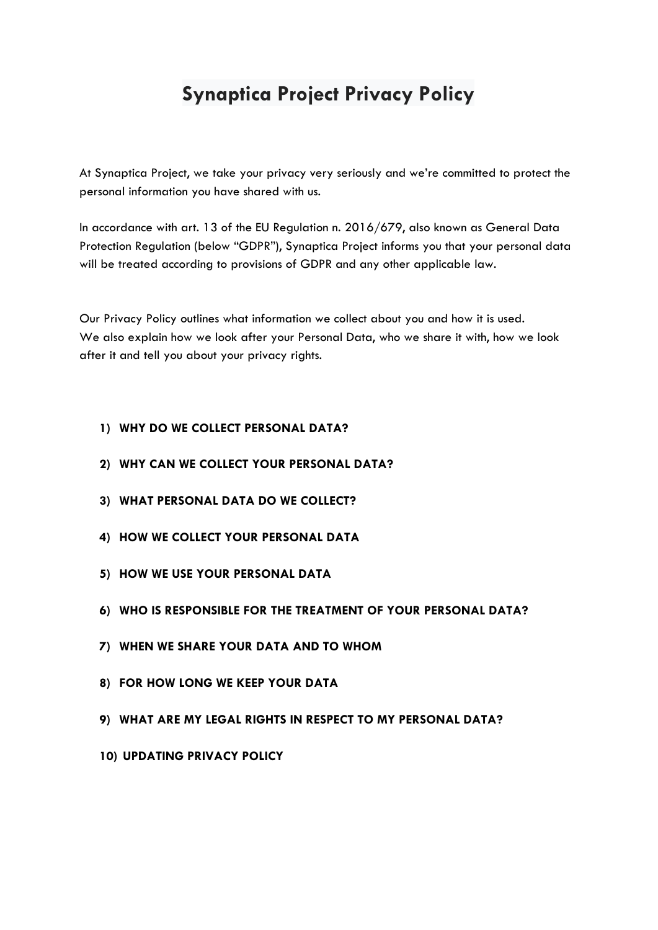# **Synaptica Project Privacy Policy**

At Synaptica Project, we take your privacy very seriously and we're committed to protect the personal information you have shared with us.

In accordance with art. 13 of the EU Regulation n. 2016/679, also known as General Data Protection Regulation (below "GDPR"), Synaptica Project informs you that your personal data will be treated according to provisions of GDPR and any other applicable law.

Our Privacy Policy outlines what information we collect about you and how it is used. We also explain how we look after your Personal Data, who we share it with, how we look after it and tell you about your privacy rights.

#### **1) WHY DO WE COLLECT PERSONAL DATA?**

- **2) WHY CAN WE COLLECT YOUR PERSONAL DATA?**
- **3) WHAT PERSONAL DATA DO WE COLLECT?**
- **4) HOW WE COLLECT YOUR PERSONAL DATA**
- **5) HOW WE USE YOUR PERSONAL DATA**
- **6) WHO IS RESPONSIBLE FOR THE TREATMENT OF YOUR PERSONAL DATA?**
- **7) WHEN WE SHARE YOUR DATA AND TO WHOM**
- **8) FOR HOW LONG WE KEEP YOUR DATA**
- **9) WHAT ARE MY LEGAL RIGHTS IN RESPECT TO MY PERSONAL DATA?**
- **10) UPDATING PRIVACY POLICY**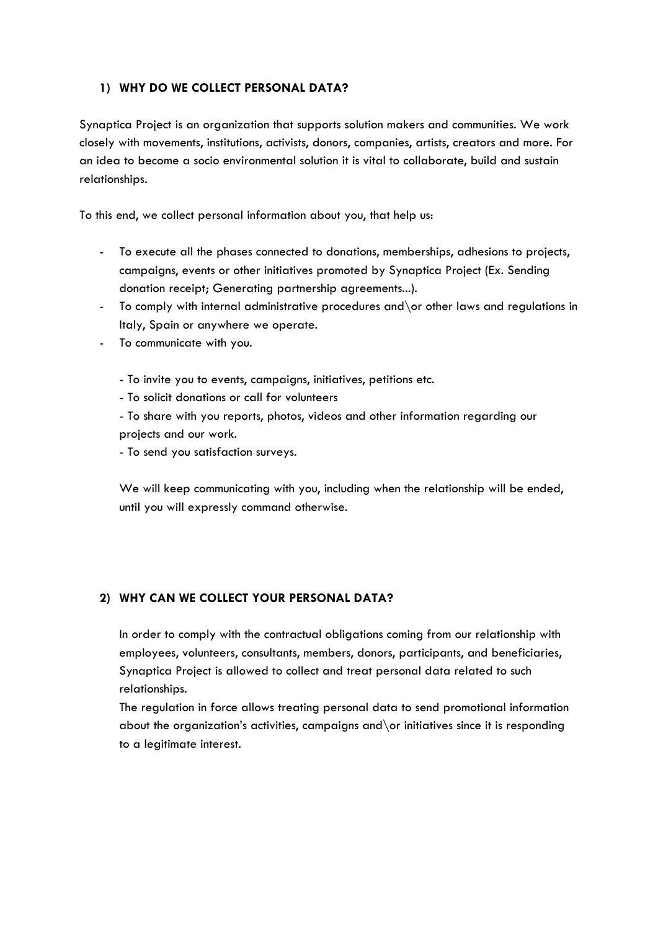## **1) WHY DO WE COLLECT PERSONAL DATA?**

Synaptica Project is an organization that supports solution makers and communities. We work closely with movements, institutions, activists, donors, companies, artists, creators and more. For an idea to become a socio environmental solution it is vital to collaborate, build and sustain relationships.

To this end, we collect personal information about you, that help us:

- To execute all the phases connected to donations, memberships, adhesions to projects, campaigns, events or other initiatives promoted by Synaptica Project (Ex. Sending donation receipt; Generating partnership agreements...).
- To comply with internal administrative procedures and \or other laws and regulations in Italy, Spain or anywhere we operate.
- To communicate with you.

- To invite you to events, campaigns, initiatives, petitions etc.

- To solicit donations or call for volunteers

- To share with you reports, photos, videos and other information regarding our projects and our work.

- To send you satisfaction surveys.

We will keep communicating with you, including when the relationship will be ended, until you will expressly command otherwise.

#### **2) WHY CAN WE COLLECT YOUR PERSONAL DATA?**

In order to comply with the contractual obligations coming from our relationship with employees, volunteers, consultants, members, donors, participants, and beneficiaries, Synaptica Project is allowed to collect and treat personal data related to such relationships.

The regulation in force allows treating personal data to send promotional information about the organization's activities, campaigns and\or initiatives since it is responding to a legitimate interest.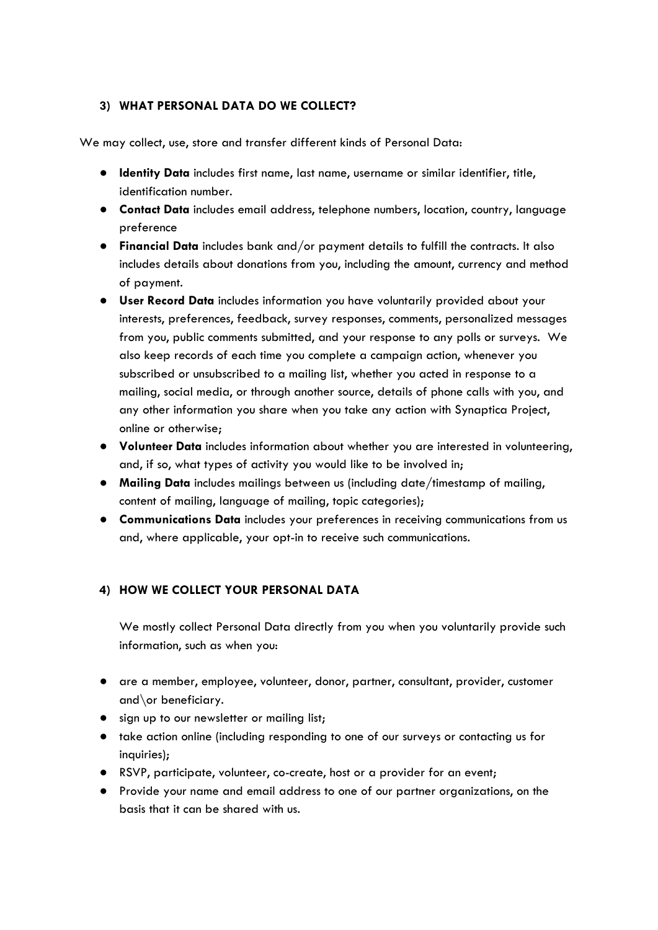# **3) WHAT PERSONAL DATA DO WE COLLECT?**

We may collect, use, store and transfer different kinds of Personal Data:

- **Identity Data** includes first name, last name, username or similar identifier, title, identification number.
- **Contact Data** includes email address, telephone numbers, location, country, language preference
- **Financial Data** includes bank and/or payment details to fulfill the contracts. It also includes details about donations from you, including the amount, currency and method of payment.
- **User Record Data** includes information you have voluntarily provided about your interests, preferences, feedback, survey responses, comments, personalized messages from you, public comments submitted, and your response to any polls or surveys. We also keep records of each time you complete a campaign action, whenever you subscribed or unsubscribed to a mailing list, whether you acted in response to a mailing, social media, or through another source, details of phone calls with you, and any other information you share when you take any action with Synaptica Project, online or otherwise;
- **Volunteer Data** includes information about whether you are interested in volunteering, and, if so, what types of activity you would like to be involved in;
- **Mailing Data** includes mailings between us (including date/timestamp of mailing, content of mailing, language of mailing, topic categories);
- **Communications Data** includes your preferences in receiving communications from us and, where applicable, your opt-in to receive such communications.

# **4) HOW WE COLLECT YOUR PERSONAL DATA**

We mostly collect Personal Data directly from you when you voluntarily provide such information, such as when you:

- are a member, employee, volunteer, donor, partner, consultant, provider, customer and\or beneficiary.
- sign up to our newsletter or mailing list;
- take action online (including responding to one of our surveys or contacting us for inquiries);
- RSVP, participate, volunteer, co-create, host or a provider for an event;
- Provide your name and email address to one of our partner organizations, on the basis that it can be shared with us.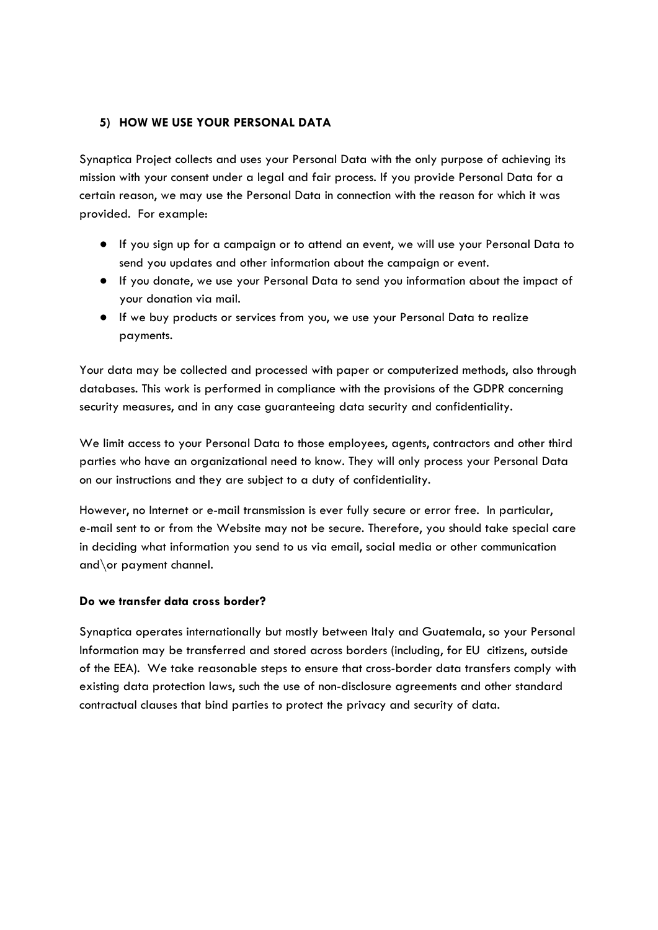## **5) HOW WE USE YOUR PERSONAL DATA**

Synaptica Project collects and uses your Personal Data with the only purpose of achieving its mission with your consent under a legal and fair process. If you provide Personal Data for a certain reason, we may use the Personal Data in connection with the reason for which it was provided. For example:

- If you sign up for a campaign or to attend an event, we will use your Personal Data to send you updates and other information about the campaign or event.
- If you donate, we use your Personal Data to send you information about the impact of your donation via mail.
- If we buy products or services from you, we use your Personal Data to realize payments.

Your data may be collected and processed with paper or computerized methods, also through databases. This work is performed in compliance with the provisions of the GDPR concerning security measures, and in any case guaranteeing data security and confidentiality.

We limit access to your Personal Data to those employees, agents, contractors and other third parties who have an organizational need to know. They will only process your Personal Data on our instructions and they are subject to a duty of confidentiality.

However, no Internet or e-mail transmission is ever fully secure or error free. In particular, e-mail sent to or from the Website may not be secure. Therefore, you should take special care in deciding what information you send to us via email, social media or other communication and\or payment channel.

#### **Do we transfer data cross border?**

Synaptica operates internationally but mostly between Italy and Guatemala, so your Personal Information may be transferred and stored across borders (including, for EU citizens, outside of the EEA). We take reasonable steps to ensure that cross-border data transfers comply with existing data protection laws, such the use of non-disclosure agreements and other standard contractual clauses that bind parties to protect the privacy and security of data.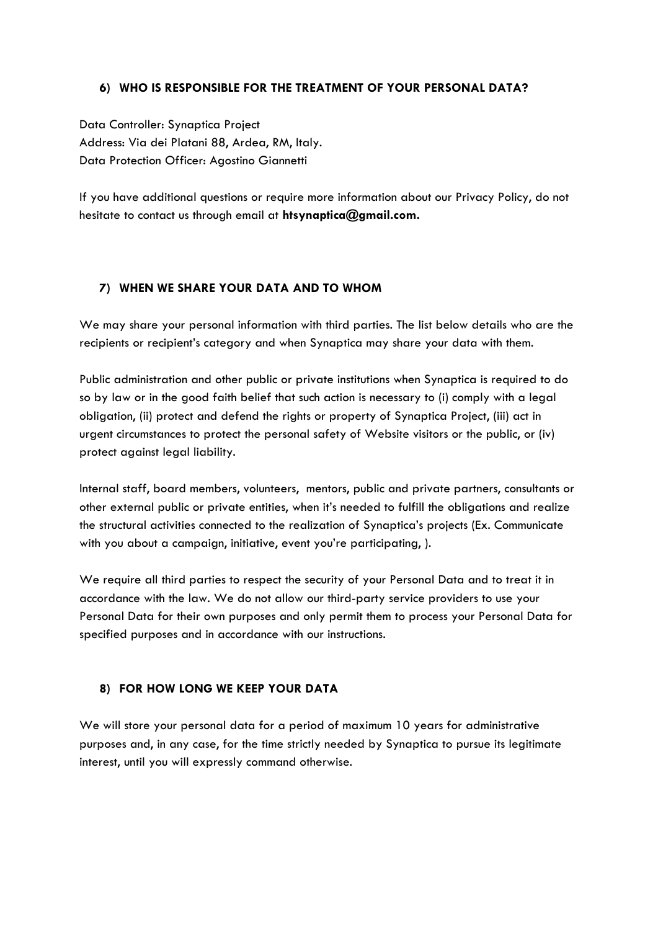#### **6) WHO IS RESPONSIBLE FOR THE TREATMENT OF YOUR PERSONAL DATA?**

Data Controller: Synaptica Project Address: Via dei Platani 88, Ardea, RM, Italy. Data Protection Officer: Agostino Giannetti

If you have additional questions or require more information about our Privacy Policy, do not hesitate to contact us through email at **htsynaptica@gmail.com.**

#### **7) WHEN WE SHARE YOUR DATA AND TO WHOM**

We may share your personal information with third parties. The list below details who are the recipients or recipient's category and when Synaptica may share your data with them.

Public administration and other public or private institutions when Synaptica is required to do so by law or in the good faith belief that such action is necessary to (i) comply with a legal obligation, (ii) protect and defend the rights or property of Synaptica Project, (iii) act in urgent circumstances to protect the personal safety of Website visitors or the public, or (iv) protect against legal liability.

Internal staff, board members, volunteers, mentors, public and private partners, consultants or other external public or private entities, when it's needed to fulfill the obligations and realize the structural activities connected to the realization of Synaptica's projects (Ex. Communicate with you about a campaign, initiative, event you're participating, ).

We require all third parties to respect the security of your Personal Data and to treat it in accordance with the law. We do not allow our third-party service providers to use your Personal Data for their own purposes and only permit them to process your Personal Data for specified purposes and in accordance with our instructions.

#### **8) FOR HOW LONG WE KEEP YOUR DATA**

We will store your personal data for a period of maximum 10 years for administrative purposes and, in any case, for the time strictly needed by Synaptica to pursue its legitimate interest, until you will expressly command otherwise.